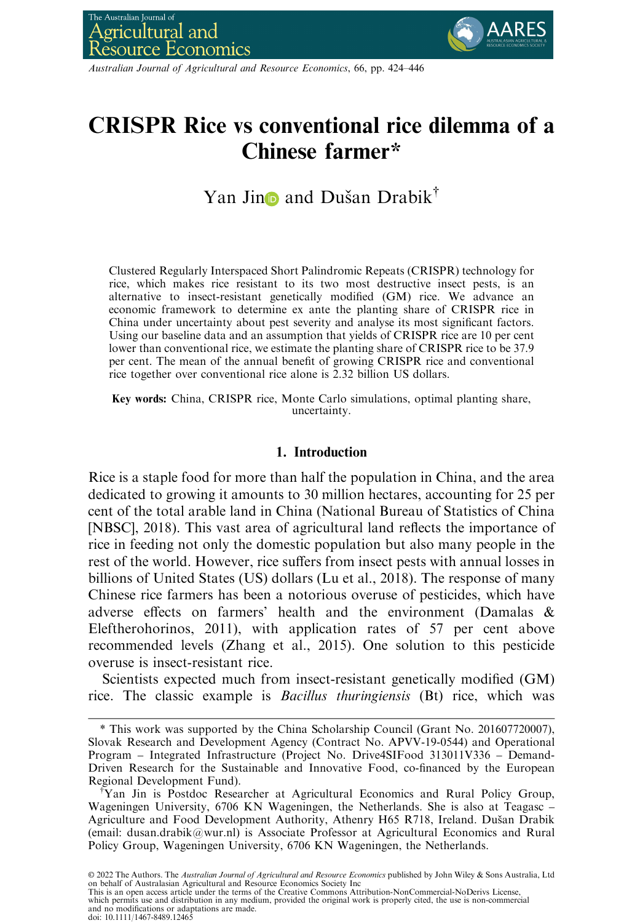

Australian Journal of Agricultural and Resource Economics, 66, pp. 424–446

# CRISPR Rice vs conventional rice dilemma of a Chinese farmer\*

Yan Jin**D** and Dušan Drabik<sup>†</sup>

Clustered Regularly Interspaced Short Palindromic Repeats (CRISPR) technology for rice, which makes rice resistant to its two most destructive insect pests, is an alternative to insect-resistant genetically modified (GM) rice. We advance an economic framework to determine ex ante the planting share of CRISPR rice in China under uncertainty about pest severity and analyse its most significant factors. Using our baseline data and an assumption that yields of CRISPR rice are 10 per cent lower than conventional rice, we estimate the planting share of CRISPR rice to be 37.9 per cent. The mean of the annual benefit of growing CRISPR rice and conventional rice together over conventional rice alone is 2.32 billion US dollars.

Key words: China, CRISPR rice, Monte Carlo simulations, optimal planting share, uncertainty.

#### 1. Introduction

Rice is a staple food for more than half the population in China, and the area dedicated to growing it amounts to 30 million hectares, accounting for 25 per cent of the total arable land in China (National Bureau of Statistics of China [NBSC], 2018). This vast area of agricultural land reflects the importance of rice in feeding not only the domestic population but also many people in the rest of the world. However, rice suffers from insect pests with annual losses in billions of United States (US) dollars (Lu et al., 2018). The response of many Chinese rice farmers has been a notorious overuse of pesticides, which have adverse effects on farmers' health and the environment (Damalas & Eleftherohorinos, 2011), with application rates of 57 per cent above recommended levels (Zhang et al., 2015). One solution to this pesticide overuse is insect-resistant rice.

Scientists expected much from insect-resistant genetically modified (GM) rice. The classic example is Bacillus thuringiensis (Bt) rice, which was

© 2022 The Authors. The *Australian Journal of Agricultural and Resource Economics* published by John Wiley & Sons Australia, Ltd<br>on behalf of Australasian Agricultural and Resource Economics Society Inc This is an open access article under the terms of the [Creative Commons Attribution-NonCommercial-NoDerivs](http://creativecommons.org/licenses/by-nc-nd/4.0/) License, which permits use and distribution in any medium, provided the original work is properly cited, the use is non-commercial and no modifications or adaptations are made. doi: 10.1111/1467-8489.12465

<sup>\*</sup> This work was supported by the China Scholarship Council (Grant No. 201607720007), Slovak Research and Development Agency (Contract No. APVV-19-0544) and Operational Program – Integrated Infrastructure (Project No. Drive4SIFood 313011V336 – Demand-Driven Research for the Sustainable and Innovative Food, co-financed by the European Regional Development Fund).

<sup>†</sup> Yan Jin is Postdoc Researcher at Agricultural Economics and Rural Policy Group, Wageningen University, 6706 KN Wageningen, the Netherlands. She is also at Teagasc – Agriculture and Food Development Authority, Athenry H65 R718, Ireland. Dušan Drabik (email: dusan.drabik@wur.nl) is Associate Professor at Agricultural Economics and Rural Policy Group, Wageningen University, 6706 KN Wageningen, the Netherlands.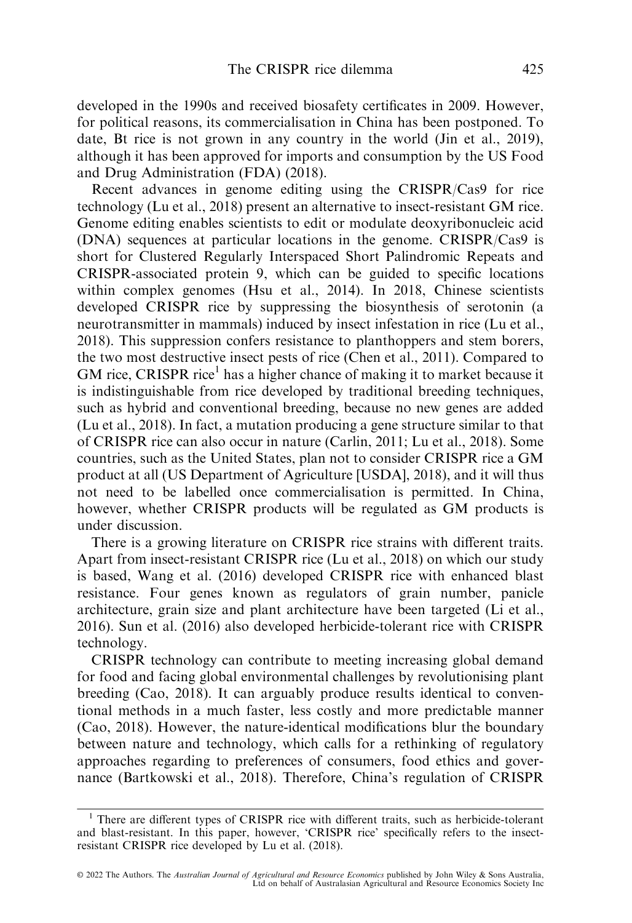developed in the 1990s and received biosafety certificates in 2009. However, for political reasons, its commercialisation in China has been postponed. To date, Bt rice is not grown in any country in the world (Jin et al., 2019), although it has been approved for imports and consumption by the US Food and Drug Administration (FDA) (2018).

Recent advances in genome editing using the CRISPR/Cas9 for rice technology (Lu et al., 2018) present an alternative to insect-resistant GM rice. Genome editing enables scientists to edit or modulate deoxyribonucleic acid (DNA) sequences at particular locations in the genome. CRISPR/Cas9 is short for Clustered Regularly Interspaced Short Palindromic Repeats and CRISPR-associated protein 9, which can be guided to specific locations within complex genomes (Hsu et al., 2014). In 2018, Chinese scientists developed CRISPR rice by suppressing the biosynthesis of serotonin (a neurotransmitter in mammals) induced by insect infestation in rice (Lu et al., 2018). This suppression confers resistance to planthoppers and stem borers, the two most destructive insect pests of rice (Chen et al., 2011). Compared to GM rice, CRISPR rice<sup>1</sup> has a higher chance of making it to market because it is indistinguishable from rice developed by traditional breeding techniques, such as hybrid and conventional breeding, because no new genes are added (Lu et al., 2018). In fact, a mutation producing a gene structure similar to that of CRISPR rice can also occur in nature (Carlin, 2011; Lu et al., 2018). Some countries, such as the United States, plan not to consider CRISPR rice a GM product at all (US Department of Agriculture [USDA], 2018), and it will thus not need to be labelled once commercialisation is permitted. In China, however, whether CRISPR products will be regulated as GM products is under discussion.

There is a growing literature on CRISPR rice strains with different traits. Apart from insect-resistant CRISPR rice (Lu et al., 2018) on which our study is based, Wang et al. (2016) developed CRISPR rice with enhanced blast resistance. Four genes known as regulators of grain number, panicle architecture, grain size and plant architecture have been targeted (Li et al., 2016). Sun et al. (2016) also developed herbicide-tolerant rice with CRISPR technology.

CRISPR technology can contribute to meeting increasing global demand for food and facing global environmental challenges by revolutionising plant breeding (Cao, 2018). It can arguably produce results identical to conventional methods in a much faster, less costly and more predictable manner (Cao, 2018). However, the nature-identical modifications blur the boundary between nature and technology, which calls for a rethinking of regulatory approaches regarding to preferences of consumers, food ethics and governance (Bartkowski et al., 2018). Therefore, China's regulation of CRISPR

<sup>&</sup>lt;sup>1</sup> There are different types of CRISPR rice with different traits, such as herbicide-tolerant and blast-resistant. In this paper, however, 'CRISPR rice' specifically refers to the insectresistant CRISPR rice developed by Lu et al. (2018).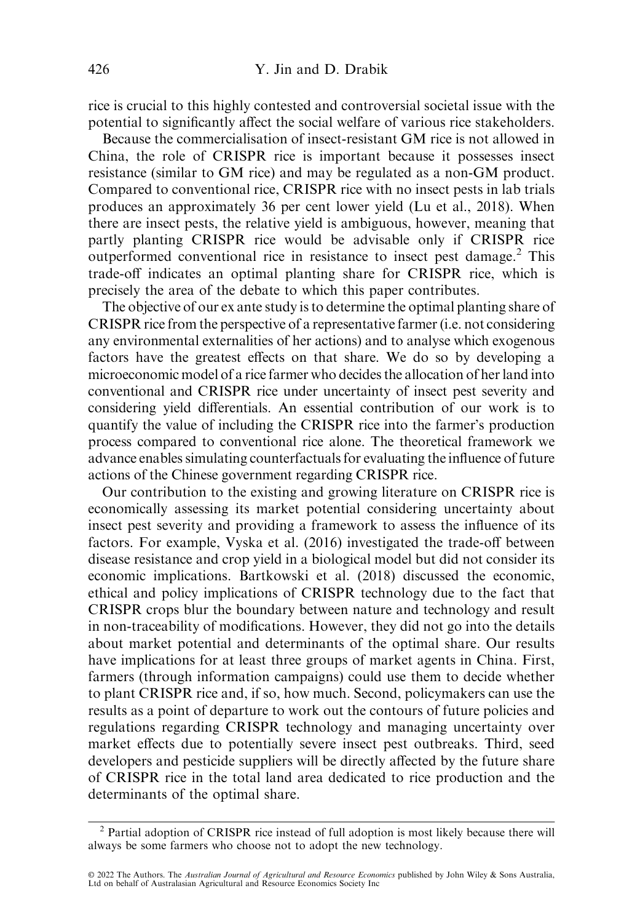rice is crucial to this highly contested and controversial societal issue with the potential to significantly affect the social welfare of various rice stakeholders.

Because the commercialisation of insect-resistant GM rice is not allowed in China, the role of CRISPR rice is important because it possesses insect resistance (similar to GM rice) and may be regulated as a non-GM product. Compared to conventional rice, CRISPR rice with no insect pests in lab trials produces an approximately 36 per cent lower yield (Lu et al., 2018). When there are insect pests, the relative yield is ambiguous, however, meaning that partly planting CRISPR rice would be advisable only if CRISPR rice outperformed conventional rice in resistance to insect pest damage.<sup>2</sup> This trade-off indicates an optimal planting share for CRISPR rice, which is precisely the area of the debate to which this paper contributes.

The objective of our ex ante study is to determine the optimal planting share of CRISPR rice from the perspective of a representative farmer (i.e. not considering any environmental externalities of her actions) and to analyse which exogenous factors have the greatest effects on that share. We do so by developing a microeconomic model of a rice farmer who decides the allocation of her land into conventional and CRISPR rice under uncertainty of insect pest severity and considering yield differentials. An essential contribution of our work is to quantify the value of including the CRISPR rice into the farmer's production process compared to conventional rice alone. The theoretical framework we advance enables simulating counterfactuals for evaluating the influence of future actions of the Chinese government regarding CRISPR rice.

Our contribution to the existing and growing literature on CRISPR rice is economically assessing its market potential considering uncertainty about insect pest severity and providing a framework to assess the influence of its factors. For example, Vyska et al. (2016) investigated the trade-off between disease resistance and crop yield in a biological model but did not consider its economic implications. Bartkowski et al. (2018) discussed the economic, ethical and policy implications of CRISPR technology due to the fact that CRISPR crops blur the boundary between nature and technology and result in non-traceability of modifications. However, they did not go into the details about market potential and determinants of the optimal share. Our results have implications for at least three groups of market agents in China. First, farmers (through information campaigns) could use them to decide whether to plant CRISPR rice and, if so, how much. Second, policymakers can use the results as a point of departure to work out the contours of future policies and regulations regarding CRISPR technology and managing uncertainty over market effects due to potentially severe insect pest outbreaks. Third, seed developers and pesticide suppliers will be directly affected by the future share of CRISPR rice in the total land area dedicated to rice production and the determinants of the optimal share.

<sup>2</sup> Partial adoption of CRISPR rice instead of full adoption is most likely because there will always be some farmers who choose not to adopt the new technology.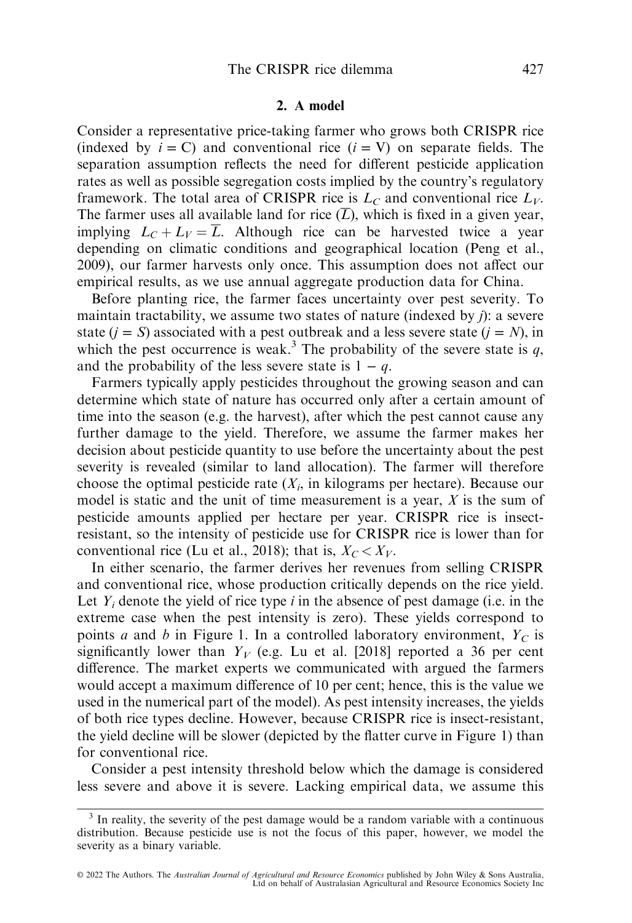#### 2. A model

Consider a representative price-taking farmer who grows both CRISPR rice (indexed by  $i = C$ ) and conventional rice  $(i = V)$  on separate fields. The separation assumption reflects the need for different pesticide application rates as well as possible segregation costs implied by the country's regulatory framework. The total area of CRISPR rice is  $L<sub>C</sub>$  and conventional rice  $L<sub>V</sub>$ . The farmer uses all available land for rice  $(\overline{L})$ , which is fixed in a given year, implying  $L_C + L_V = \overline{L}$ . Although rice can be harvested twice a year depending on climatic conditions and geographical location (Peng et al., 2009), our farmer harvests only once. This assumption does not affect our empirical results, as we use annual aggregate production data for China.

Before planting rice, the farmer faces uncertainty over pest severity. To maintain tractability, we assume two states of nature (indexed by j): a severe state  $(j = S)$  associated with a pest outbreak and a less severe state  $(j = N)$ , in which the pest occurrence is weak.<sup>3</sup> The probability of the severe state is q, and the probability of the less severe state is  $1 - q$ .

Farmers typically apply pesticides throughout the growing season and can determine which state of nature has occurred only after a certain amount of time into the season (e.g. the harvest), after which the pest cannot cause any further damage to the yield. Therefore, we assume the farmer makes her decision about pesticide quantity to use before the uncertainty about the pest severity is revealed (similar to land allocation). The farmer will therefore choose the optimal pesticide rate  $(X_i)$  in kilograms per hectare). Because our model is static and the unit of time measurement is a year,  $X$  is the sum of pesticide amounts applied per hectare per year. CRISPR rice is insectresistant, so the intensity of pesticide use for CRISPR rice is lower than for conventional rice (Lu et al., 2018); that is,  $X_C < X_V$ .

In either scenario, the farmer derives her revenues from selling CRISPR and conventional rice, whose production critically depends on the rice yield. Let  $Y_i$  denote the yield of rice type i in the absence of pest damage (i.e. in the extreme case when the pest intensity is zero). These yields correspond to points a and b in Figure 1. In a controlled laboratory environment,  $Y_C$  is significantly lower than  $Y_V$  (e.g. Lu et al. [2018] reported a 36 per cent difference. The market experts we communicated with argued the farmers would accept a maximum difference of 10 per cent; hence, this is the value we used in the numerical part of the model). As pest intensity increases, the yields of both rice types decline. However, because CRISPR rice is insect-resistant, the yield decline will be slower (depicted by the flatter curve in Figure 1) than for conventional rice.

Consider a pest intensity threshold below which the damage is considered less severe and above it is severe. Lacking empirical data, we assume this

<sup>&</sup>lt;sup>3</sup> In reality, the severity of the pest damage would be a random variable with a continuous distribution. Because pesticide use is not the focus of this paper, however, we model the severity as a binary variable.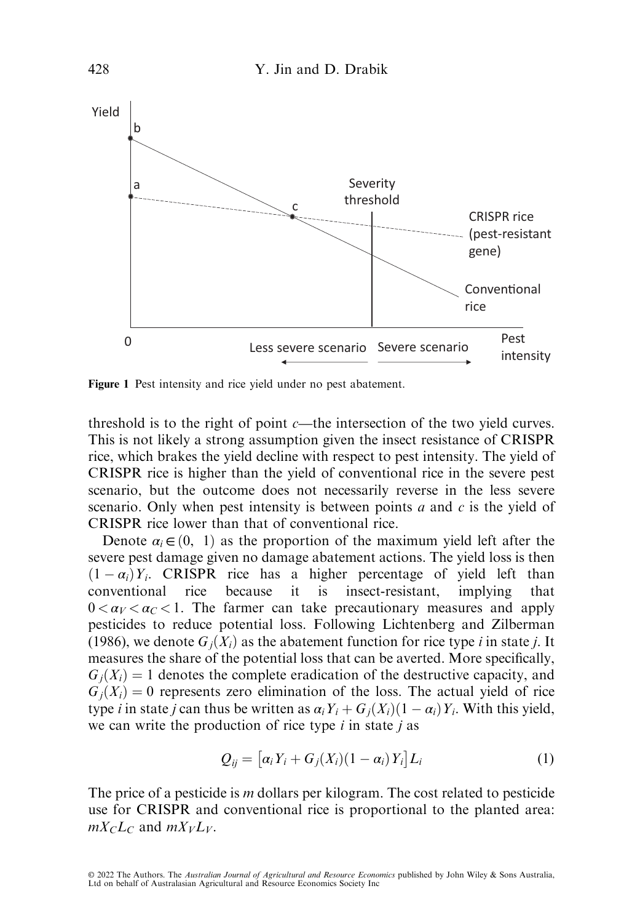

Figure 1 Pest intensity and rice yield under no pest abatement.

threshold is to the right of point  $c$ —the intersection of the two yield curves. This is not likely a strong assumption given the insect resistance of CRISPR rice, which brakes the yield decline with respect to pest intensity. The yield of CRISPR rice is higher than the yield of conventional rice in the severe pest scenario, but the outcome does not necessarily reverse in the less severe scenario. Only when pest intensity is between points  $a$  and  $c$  is the yield of CRISPR rice lower than that of conventional rice.

Denote  $\alpha_i \in (0, 1)$  as the proportion of the maximum yield left after the severe pest damage given no damage abatement actions. The yield loss is then  $(1 - \alpha_i) Y_i$ . CRISPR rice has a higher percentage of yield left than<br>conventional rice, because it is insect-resistant implying that conventional rice because it is insect-resistant, implying that  $0 < \alpha_V < \alpha_C < 1$ . The farmer can take precautionary measures and apply pesticides to reduce potential loss. Following Lichtenberg and Zilberman (1986), we denote  $G_i(X_i)$  as the abatement function for rice type i in state j. It measures the share of the potential loss that can be averted. More specifically,  $G_i(X_i) = 1$  denotes the complete eradication of the destructive capacity, and  $G_i(X_i) = 0$  represents zero elimination of the loss. The actual yield of rice type *i* in state *j* can thus be written as  $\alpha_i Y_i + G_j(X_i)(1 - \alpha_i)Y_i$ . With this yield, we can write the production of rice type *i* in state *i* as we can write the production of rice type  $i$  in state  $j$  as

$$
Q_{ij} = \left[ \alpha_i Y_i + G_j(X_i)(1 - \alpha_i) Y_i \right] L_i \tag{1}
$$

The price of a pesticide is *m* dollars per kilogram. The cost related to pesticide use for CRISPR and conventional rice is proportional to the planted area:  $mX<sub>C</sub>L<sub>C</sub>$  and  $mX<sub>V</sub>L<sub>V</sub>$ .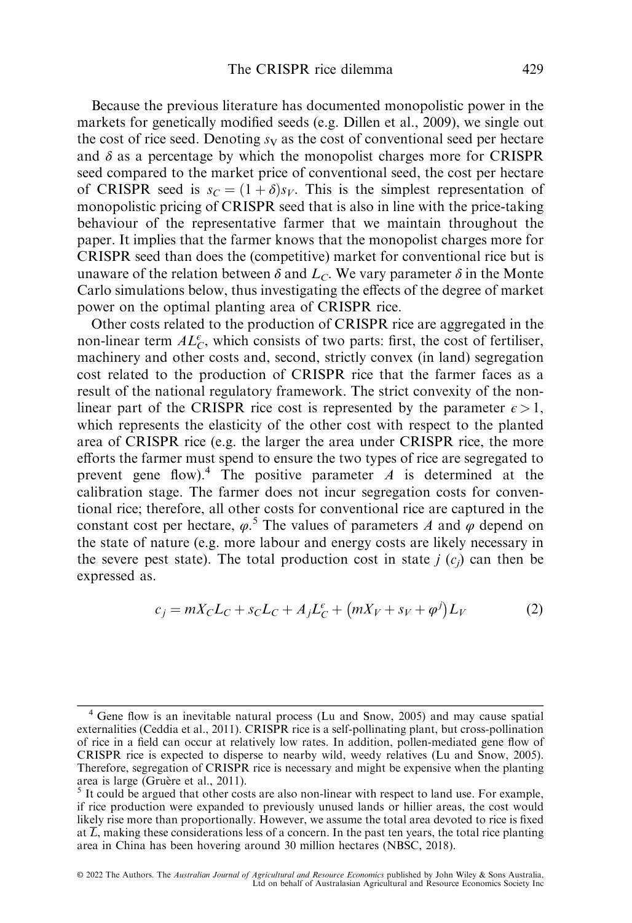Because the previous literature has documented monopolistic power in the markets for genetically modified seeds (e.g. Dillen et al., 2009), we single out the cost of rice seed. Denoting  $s_V$  as the cost of conventional seed per hectare and  $\delta$  as a percentage by which the monopolist charges more for CRISPR seed compared to the market price of conventional seed, the cost per hectare of CRISPR seed is  $s_C = (1 + \delta)s_V$ . This is the simplest representation of monopolistic pricing of CRISPR seed that is also in line with the price-taking behaviour of the representative farmer that we maintain throughout the paper. It implies that the farmer knows that the monopolist charges more for CRISPR seed than does the (competitive) market for conventional rice but is unaware of the relation between  $\delta$  and  $L_c$ . We vary parameter  $\delta$  in the Monte Carlo simulations below, thus investigating the effects of the degree of market power on the optimal planting area of CRISPR rice.

Other costs related to the production of CRISPR rice are aggregated in the non-linear term  $AL_{\mathcal{C}}^{\epsilon}$ , which consists of two parts: first, the cost of fertiliser, machinery and other costs and, second, strictly convex (in land) segregation cost related to the production of CRISPR rice that the farmer faces as a result of the national regulatory framework. The strict convexity of the nonlinear part of the CRISPR rice cost is represented by the parameter  $\epsilon > 1$ , which represents the elasticity of the other cost with respect to the planted area of CRISPR rice (e.g. the larger the area under CRISPR rice, the more efforts the farmer must spend to ensure the two types of rice are segregated to prevent gene flow).<sup>4</sup> The positive parameter  $\vec{A}$  is determined at the calibration stage. The farmer does not incur segregation costs for conventional rice; therefore, all other costs for conventional rice are captured in the constant cost per hectare,  $\varphi$ <sup>5</sup>. The values of parameters A and  $\varphi$  depend on the state of nature (e.g. more labour and energy costs are likely necessary in the severe pest state). The total production cost in state  $j(c_i)$  can then be expressed as.

$$
c_j = mX_C L_C + s_C L_C + A_j L_C^{\epsilon} + (mX_V + s_V + \varphi^j)L_V
$$
 (2)

<sup>4</sup> Gene flow is an inevitable natural process (Lu and Snow, 2005) and may cause spatial externalities (Ceddia et al., 2011). CRISPR rice is a self-pollinating plant, but cross-pollination of rice in a field can occur at relatively low rates. In addition, pollen-mediated gene flow of CRISPR rice is expected to disperse to nearby wild, weedy relatives (Lu and Snow, 2005). Therefore, segregation of CRISPR rice is necessary and might be expensive when the planting area is large (Gruère et al., 2011).

 $\frac{5}{5}$  It could be argued that other costs are also non-linear with respect to land use. For example, if rice production were expanded to previously unused lands or hillier areas, the cost would likely rise more than proportionally. However, we assume the total area devoted to rice is fixed at  $\overline{L}$ , making these considerations less of a concern. In the past ten years, the total rice planting area in China has been hovering around 30 million hectares (NBSC, 2018).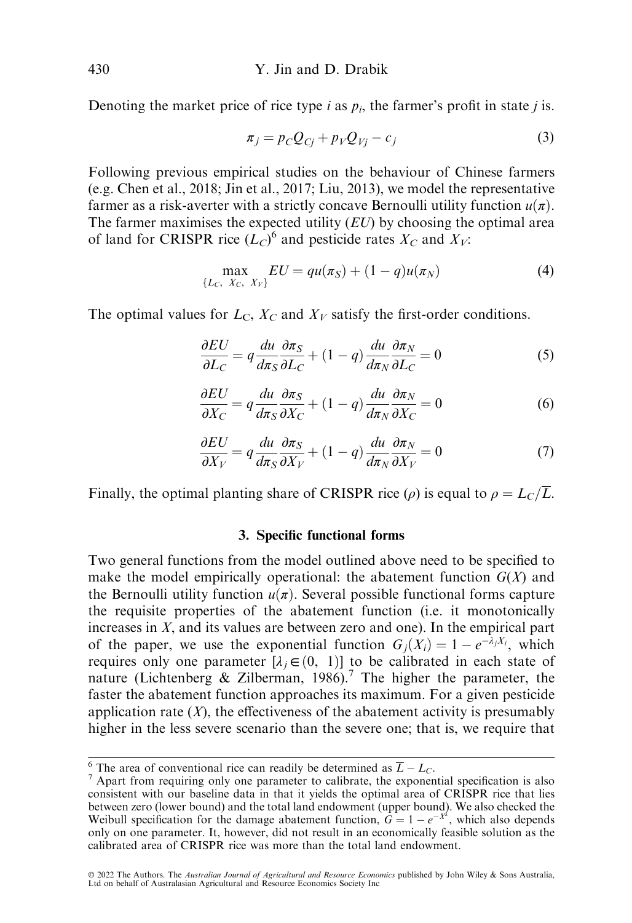Denoting the market price of rice type *i* as  $p_i$ , the farmer's profit in state *j* is.

$$
\pi_j = p_C Q_{Cj} + p_V Q_{Vj} - c_j \tag{3}
$$

Following previous empirical studies on the behaviour of Chinese farmers (e.g. Chen et al., 2018; Jin et al., 2017; Liu, 2013), we model the representative farmer as a risk-averter with a strictly concave Bernoulli utility function  $u(\pi)$ . The farmer maximises the expected utility  $(EU)$  by choosing the optimal area of land for CRISPR rice  $(L_C)^6$  and pesticide rates  $X_C$  and  $X_V$ :

$$
\max_{\{L_C, X_C, X_V\}} EU = qu(\pi_S) + (1 - q)u(\pi_N)
$$
 (4)

The optimal values for  $L<sub>C</sub>$ ,  $X<sub>C</sub>$  and  $X<sub>V</sub>$  satisfy the first-order conditions.

$$
\frac{\partial EU}{\partial L_C} = q \frac{du}{d\pi_S} \frac{\partial \pi_S}{\partial L_C} + (1 - q) \frac{du}{d\pi_N} \frac{\partial \pi_N}{\partial L_C} = 0
$$
\n(5)

$$
\frac{\partial EU}{\partial X_C} = q \frac{du}{d\pi_S} \frac{\partial \pi_S}{\partial X_C} + (1 - q) \frac{du}{d\pi_N} \frac{\partial \pi_N}{\partial X_C} = 0
$$
\n(6)

$$
\frac{\partial EU}{\partial X_V} = q \frac{du}{d\pi_S} \frac{\partial \pi_S}{\partial X_V} + (1 - q) \frac{du}{d\pi_N} \frac{\partial \pi_N}{\partial X_V} = 0 \tag{7}
$$

Finally, the optimal planting share of CRISPR rice ( $\rho$ ) is equal to  $\rho = L_C/\overline{L}$ .

#### 3. Specific functional forms

Two general functions from the model outlined above need to be specified to make the model empirically operational: the abatement function  $G(X)$  and the Bernoulli utility function  $u(\pi)$ . Several possible functional forms capture the requisite properties of the abatement function (i.e. it monotonically increases in  $X$ , and its values are between zero and one). In the empirical part of the paper, we use the exponential function  $G_j(X_i) = 1 -$ <br>requires only one parameter  $[1 \in (0, 1)]$  to be calibrated in  $-e^{-\lambda_j X_i}$ , which requires only one parameter  $[\lambda_j \in (0, 1)]$  to be calibrated in each state of nature (Lichtenberg & Zilberman, 1986)<sup>7</sup> The higher the parameter the nature (Lichtenberg  $\&$  Zilberman, 1986).<sup>7</sup> The higher the parameter, the faster the abatement function approaches its maximum. For a given pesticide application rate  $(X)$ , the effectiveness of the abatement activity is presumably higher in the less severe scenario than the severe one; that is, we require that

<sup>&</sup>lt;sup>6</sup> The area of conventional rice can readily be determined as  $\overline{L} - L_C$ .

 $<sup>7</sup>$  Apart from requiring only one parameter to calibrate, the exponential specification is also</sup> consistent with our baseline data in that it yields the optimal area of CRISPR rice that lies between zero (lower bound) and the total land endowment (upper bound). We also checked the Weibull specification for the damage abatement function,  $\hat{G} = 1 - e^{-X^2}$ , which also depends only on one parameter. It however, did not result in an economically feasible solution as the only on one parameter. It, however, did not result in an economically feasible solution as the calibrated area of CRISPR rice was more than the total land endowment.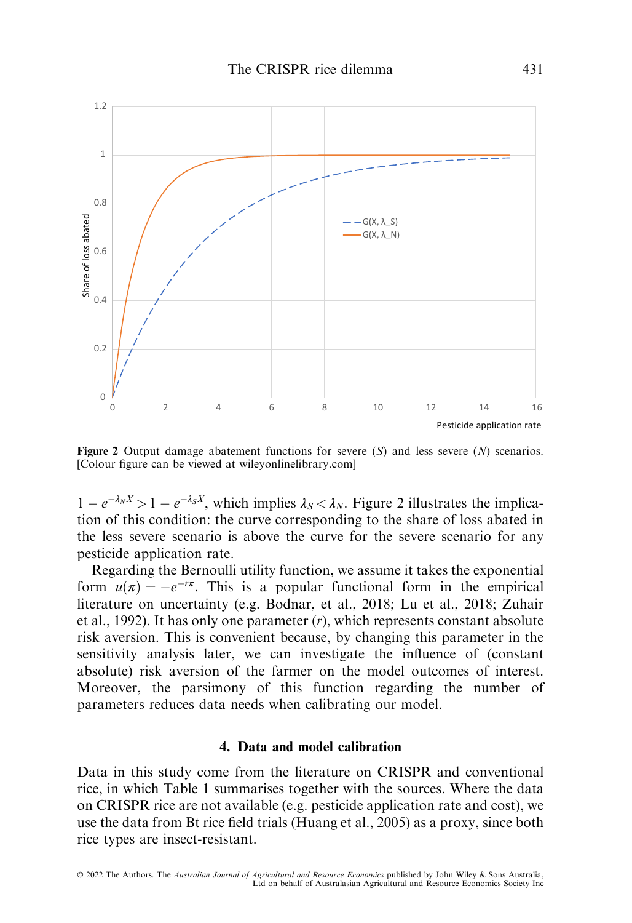

**Figure 2** Output damage abatement functions for severe  $(S)$  and less severe  $(N)$  scenarios. [Colour figure can be viewed at [wileyonlinelibrary.com](www.wileyonlinelibrary.com)]

 $1 - e^{-\lambda_N X} > 1 - e^{-\lambda_S X}$ , which implies  $\lambda_S < \lambda_N$ . Figure 2 illustrates the implication of this condition: the curve corresponding to the share of loss abated in  $-e^{-\lambda_N X} > 1 - e^{-\lambda_S X}$ , which implies  $\lambda_S < \lambda_N$ . Figure 2 illustrates the implicathe less severe scenario is above the curve for the severe scenario for any pesticide application rate.

Regarding the Bernoulli utility function, we assume it takes the exponential form  $u(\pi) = -e^{-r\pi}$ . This is a popular functional form in the empirical<br>literature on uncertainty (e.g. Bodnar, et al., 2018: Lu et al., 2018: Zuhair literature on uncertainty (e.g. Bodnar, et al., 2018; Lu et al., 2018; Zuhair et al., 1992). It has only one parameter (r), which represents constant absolute risk aversion. This is convenient because, by changing this parameter in the sensitivity analysis later, we can investigate the influence of (constant absolute) risk aversion of the farmer on the model outcomes of interest. Moreover, the parsimony of this function regarding the number of parameters reduces data needs when calibrating our model.

## 4. Data and model calibration

Data in this study come from the literature on CRISPR and conventional rice, in which Table 1 summarises together with the sources. Where the data on CRISPR rice are not available (e.g. pesticide application rate and cost), we use the data from Bt rice field trials (Huang et al., 2005) as a proxy, since both rice types are insect-resistant.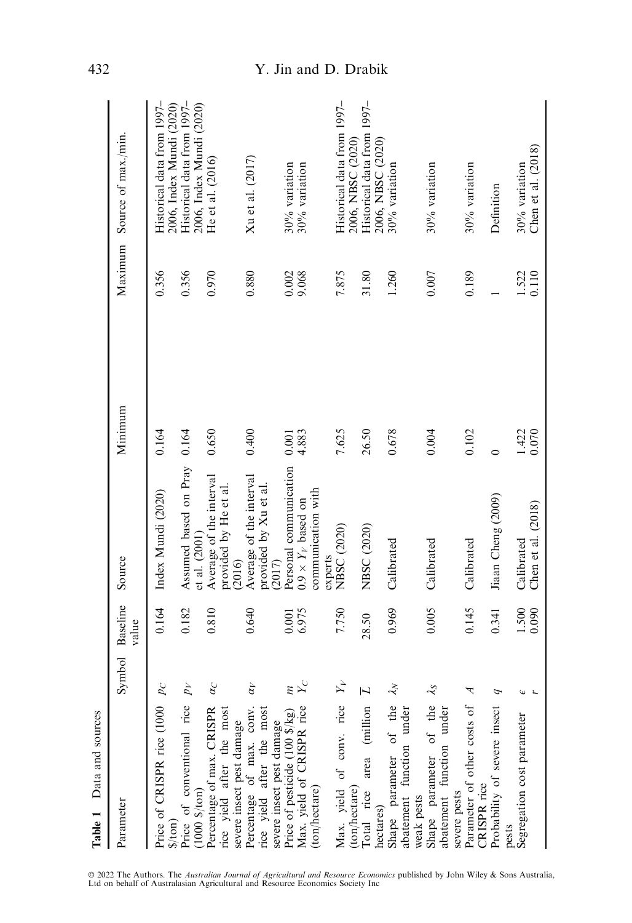| Table 1 Data and sources                                                                 |            |                   |                                                               |                |                |                                                        |
|------------------------------------------------------------------------------------------|------------|-------------------|---------------------------------------------------------------|----------------|----------------|--------------------------------------------------------|
| Parameter                                                                                | Symbol     | Baseline<br>value | Source                                                        | Minimum        | Maximum        | Source of max./min.                                    |
| Price of CRISPR rice (1000 $p_C$<br>$\frac{1}{2}$                                        |            | 0.164             | Index Mundi (2020)                                            | 0.164          | 0.356          | Historical data from 1997–<br>2006, Index Mundi (2020) |
| Price of conventional rice $p_V$<br>$(1000 \frac{5}{1001})$                              |            | 0.182             | Assumed based on Pray<br>et al. (2001)                        | 0.164          | 0.356          | Historical data from 1997-<br>2006, Index Mundi (2020) |
| Percentage of max. CRISPR<br>rice yield after the most                                   | $\alpha_C$ | 0.810             | Average of the interval<br>provided by He et al               | 0.650          | 0.970          | He et al. $(2016)$                                     |
| Percentage of max. conv.<br>rice yield after the most<br>severe insect pest damage       | $\alpha_V$ | 0.640             | Average of the interval<br>provided by Xu et al<br>(2016)     | 0.400          | 0.880          | Xu et al. (2017)                                       |
| Max. yield of CRISPR rice<br>Price of pesticide (100 \$/kg)<br>severe insect pest damage | $\sum_{C}$ | 6.975<br>0.001    | Personal communication<br>$0.9 \times Y_V$ based on<br>(2017) | 4.883<br>0.001 | 0.002<br>9.068 | 30% variation<br>30% variation                         |
| (ton/hectare)                                                                            |            |                   | communication with<br>experts                                 |                |                |                                                        |
| Max. yield of conv. rice $Y_V$<br>(ton/hectare)                                          |            | 7.750             | NBSC (2020)                                                   | 7.625          | 7.875          | Historical data from 1997-<br>2006, NBSC (2020)        |
| Total rice area (million $\overline{L}$<br>hectares)                                     |            | 28.50             | NBSC (2020)                                                   | 26.50          | 31.80          | Historical data from 1997-<br>2006, NBSC (2020)        |
| Shape parameter of the $\lambda_N$<br>abatement function under                           |            | 0.969             | Calibrated                                                    | 0.678          | 1.260          | 30% variation                                          |
| Shape parameter of the $\lambda_S$<br>abatement function under<br>weak pests             |            | 0.005             | Calibrated                                                    | 0.004          | 0.007          | 30% variation                                          |
| Parameter of other costs of A<br>CRISPR <sub>rice</sub><br>severe pests                  |            | 0.145             | Calibrated                                                    | 0.102          | 0.189          | 30% variation                                          |
| Probability of severe insect<br>pests                                                    | Φ          | 0.341             | Jiaan Cheng (2009)                                            | $\circ$        |                | Definition                                             |
| Segregation cost parameter                                                               |            | 1.500<br>0.090    | Chen et al. $(2018)$<br>Calibrated                            | 1.422<br>0.070 | 1.522<br>0.110 | Chen et al. $(2018)$<br>30% variation                  |

# 432 Y. Jin and D. Drabik

© 2022 The Authors. The *Australian Journal of Agricultural and Resource Economics* published by John Wiley & Sons Australia,<br>Ltd on behalf of Australasian Agricultural and Resource Economics Society Inc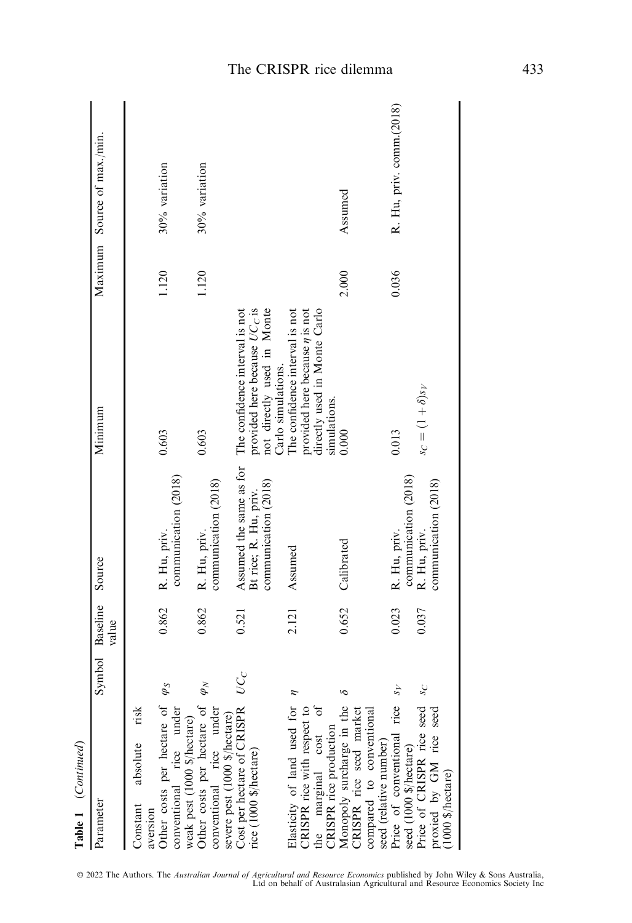| Table 1 (Continued)                                                                                                          |             |                   |                                                                          |                                                                                                                       |       |                             |  |
|------------------------------------------------------------------------------------------------------------------------------|-------------|-------------------|--------------------------------------------------------------------------|-----------------------------------------------------------------------------------------------------------------------|-------|-----------------------------|--|
| Parameter                                                                                                                    | Symbol      | Baseline<br>value | Source                                                                   | Minimum                                                                                                               |       | Maximum Source of max./min. |  |
| risk<br>absolute<br>Constant<br>aversion                                                                                     |             |                   |                                                                          |                                                                                                                       |       |                             |  |
| Other costs per hectare of $\varphi_S$<br>conventional rice under<br>weak pest (1000 \$/hectare)                             |             | 0.862             | communication (2018)<br>R. Hu, priv.                                     | 0.603                                                                                                                 | 1.120 | 30% variation               |  |
| Other costs per hectare of<br>conventional rice under<br>severe pest (1000 \$/hectare)                                       | $\varphi_N$ | 0.862             | communication (2018)<br>R. Hu, priv.                                     | 0.603                                                                                                                 | 1.120 | 30% variation               |  |
| Cost per hectare of CRISPR<br>rice (1000 \$/hectare)                                                                         | $\cal UC_C$ | 0.521             | Assumed the same as for<br>communication (2018)<br>Bt rice; R. Hu, priv. | The confidence interval is not<br>provided here because $UC_C$ is<br>not directly used in Monte<br>Carlo simulations. |       |                             |  |
| Elasticity of land used for $\eta$<br>$\sigma$<br>CRISPR rice with respect to<br>the marginal cost<br>CRISPR rice production |             | 2.121             | Assumed                                                                  | The confidence interval is not<br>provided here because $\eta$ is not<br>directly used in Monte Carlo<br>simulations. |       |                             |  |
| Monopoly surcharge in the<br>CRISPR rice seed market<br>compared to conventional<br>seed (relative number)                   |             | 0.652             | Calibrated                                                               | 0.000                                                                                                                 | 2.000 | Assumed                     |  |
| Price of conventional rice                                                                                                   |             | 0.023             | communication (2018)<br>R. Hu, priv.                                     | 0.013                                                                                                                 | 0.036 | R. Hu, priv. comm. (2018)   |  |
| seed (1000 \$/hectare)<br>Price of CRISPR rice seed<br>proxied by GM rice seed<br>$(1000 \text{ $$/hectare})$                | $S_{C}$     | 0.037             | communication (2018)<br>R. Hu, priv.                                     | $s_C = (1+\delta)s_V$                                                                                                 |       |                             |  |

© 2022 The Authors. The *Australian Journal of Agricultural and Resource Economics* published by John Wiley & Sons Australia,<br>Ltd on behalf of Australasian Agricultural and Resource Economics Society Inc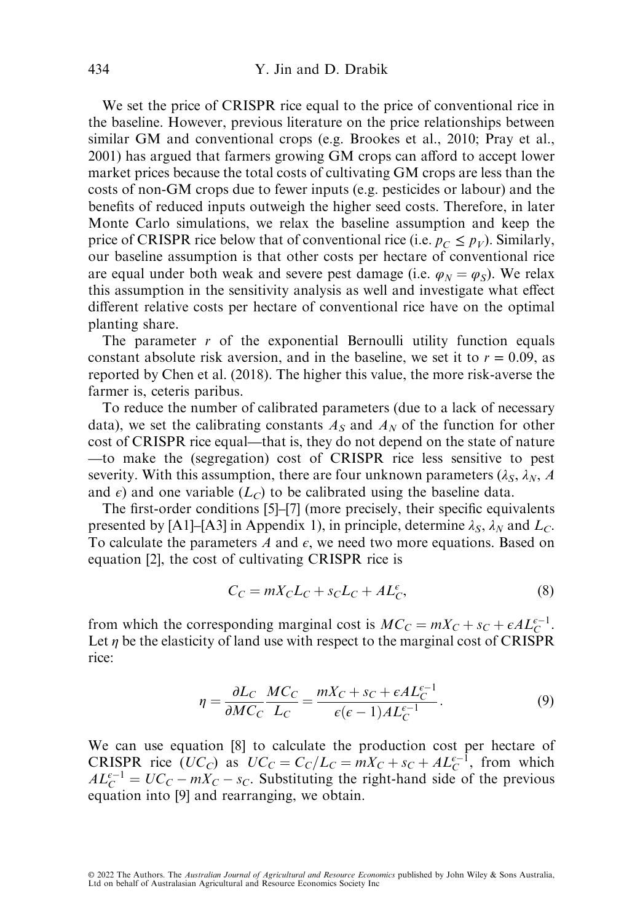We set the price of CRISPR rice equal to the price of conventional rice in the baseline. However, previous literature on the price relationships between similar GM and conventional crops (e.g. Brookes et al., 2010; Pray et al., 2001) has argued that farmers growing GM crops can afford to accept lower market prices because the total costs of cultivating GM crops are less than the costs of non-GM crops due to fewer inputs (e.g. pesticides or labour) and the benefits of reduced inputs outweigh the higher seed costs. Therefore, in later Monte Carlo simulations, we relax the baseline assumption and keep the price of CRISPR rice below that of conventional rice (i.e.  $p_C \leq p_V$ ). Similarly, our baseline assumption is that other costs per hectare of conventional rice are equal under both weak and severe pest damage (i.e.  $\varphi_N = \varphi_S$ ). We relax this assumption in the sensitivity analysis as well and investigate what effect different relative costs per hectare of conventional rice have on the optimal planting share.

The parameter  $r$  of the exponential Bernoulli utility function equals constant absolute risk aversion, and in the baseline, we set it to  $r = 0.09$ , as reported by Chen et al. (2018). The higher this value, the more risk-averse the farmer is, ceteris paribus.

To reduce the number of calibrated parameters (due to a lack of necessary data), we set the calibrating constants  $A<sub>S</sub>$  and  $A<sub>N</sub>$  of the function for other cost of CRISPR rice equal—that is, they do not depend on the state of nature —to make the (segregation) cost of CRISPR rice less sensitive to pest severity. With this assumption, there are four unknown parameters  $(\lambda_S, \lambda_N, A)$ and  $\epsilon$ ) and one variable ( $L_c$ ) to be calibrated using the baseline data.

The first-order conditions [5]–[7] (more precisely, their specific equivalents presented by [A1]–[A3] in Appendix 1), in principle, determine  $\lambda_S$ ,  $\lambda_N$  and  $L_C$ . To calculate the parameters A and  $\epsilon$ , we need two more equations. Based on equation [2], the cost of cultivating CRISPR rice is

$$
C_C = mX_C L_C + s_C L_C + A L_C^{\epsilon},\tag{8}
$$

from which the corresponding marginal cost is  $MC_C = mX_C + s_C + \epsilon A L_C^{\epsilon-1}$ .<br>Let *n* be the elasticity of land use with respect to the marginal cost of **CRISPR** Let  $\eta$  be the elasticity of land use with respect to the marginal cost of CRISPR rice:

$$
\eta = \frac{\partial L_C}{\partial M C_C} \frac{M C_C}{L_C} = \frac{m X_C + s_C + \epsilon A L_C^{c-1}}{\epsilon (\epsilon - 1) A L_C^{c-1}}.
$$
\n(9)

We can use equation [8] to calculate the production cost per hectare of **CRISPR** rice  $(UC_C)$  as  $UC_C = C_C/L_C = mX_C + s_C + AL_C^{c-1}$ , from which  $AF^{-1} - I/C_C = mX_C - s_C$  Substituting the right-hand side of the previous  $AL_C^{c-1} = UC_C - mX_C - s_C$ . Substituting the right-hand side of the previous equation into [9] and rearranging we obtain equation into [9] and rearranging, we obtain.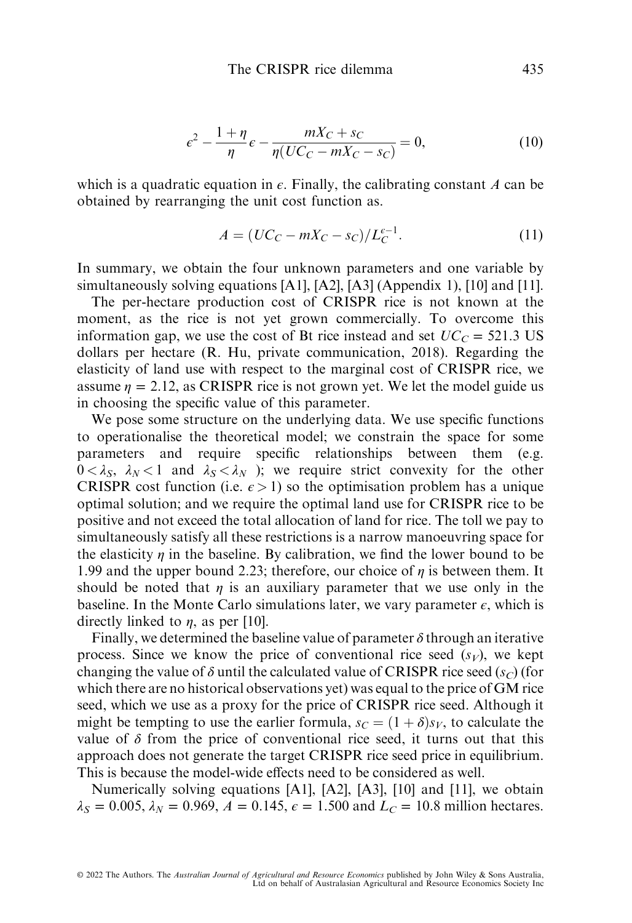$$
\epsilon^2 - \frac{1+\eta}{\eta} \epsilon - \frac{mX_C + s_C}{\eta (UC_C - mX_C - s_C)} = 0,
$$
\n(10)

which is a quadratic equation in  $\epsilon$ . Finally, the calibrating constant A can be obtained by rearranging the unit cost function as.

$$
A = (UC_C - mX_C - s_C)/L_C^{c-1}.
$$
 (11)

In summary, we obtain the four unknown parameters and one variable by simultaneously solving equations [A1], [A2], [A3] (Appendix 1), [10] and [11].

The per-hectare production cost of CRISPR rice is not known at the moment, as the rice is not yet grown commercially. To overcome this information gap, we use the cost of Bt rice instead and set  $UC_C = 521.3 \text{ US}$ dollars per hectare (R. Hu, private communication, 2018). Regarding the elasticity of land use with respect to the marginal cost of CRISPR rice, we assume  $\eta = 2.12$ , as CRISPR rice is not grown yet. We let the model guide us in choosing the specific value of this parameter.

We pose some structure on the underlying data. We use specific functions to operationalise the theoretical model; we constrain the space for some parameters and require specific relationships between them (e.g.  $0 < \lambda_S$ ,  $\lambda_N < 1$  and  $\lambda_S < \lambda_N$ ); we require strict convexity for the other CRISPR cost function (i.e.  $\epsilon > 1$ ) so the optimisation problem has a unique optimal solution; and we require the optimal land use for CRISPR rice to be positive and not exceed the total allocation of land for rice. The toll we pay to simultaneously satisfy all these restrictions is a narrow manoeuvring space for the elasticity  $\eta$  in the baseline. By calibration, we find the lower bound to be 1.99 and the upper bound 2.23; therefore, our choice of  $\eta$  is between them. It should be noted that  $\eta$  is an auxiliary parameter that we use only in the baseline. In the Monte Carlo simulations later, we vary parameter  $\epsilon$ , which is directly linked to  $\eta$ , as per [10].

Finally, we determined the baseline value of parameter  $\delta$  through an iterative process. Since we know the price of conventional rice seed  $(s_V)$ , we kept changing the value of  $\delta$  until the calculated value of CRISPR rice seed (s<sub>C</sub>) (for which there are no historical observations yet) was equal to the price of GM rice seed, which we use as a proxy for the price of CRISPR rice seed. Although it might be tempting to use the earlier formula,  $s_C = (1 + \delta)s_V$ , to calculate the value of  $\delta$  from the price of conventional rice seed, it turns out that this approach does not generate the target CRISPR rice seed price in equilibrium. This is because the model-wide effects need to be considered as well.

Numerically solving equations [A1], [A2], [A3], [10] and [11], we obtain  $\lambda_S = 0.005$ ,  $\lambda_N = 0.969$ ,  $A = 0.145$ ,  $\epsilon = 1.500$  and  $L_C = 10.8$  million hectares.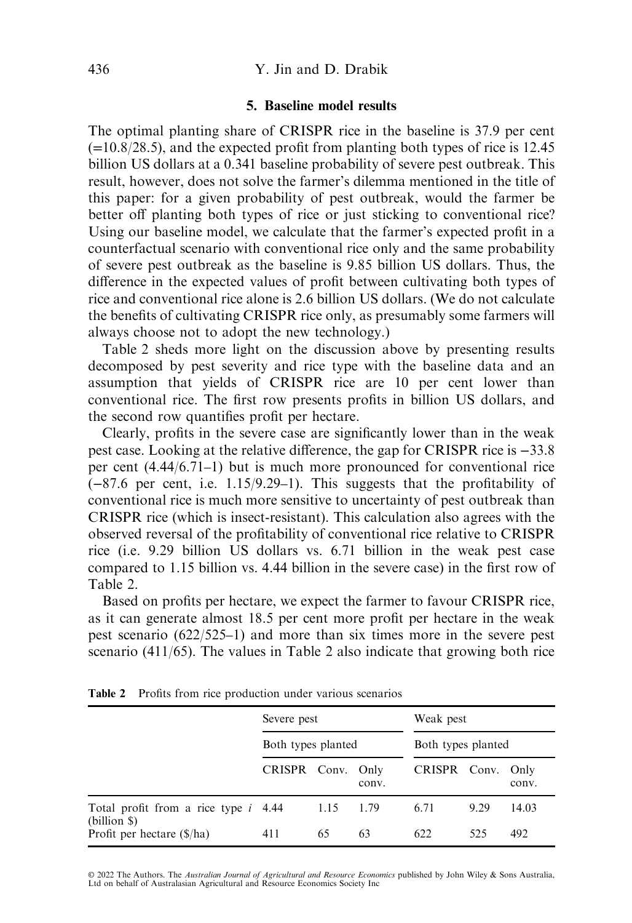#### 5. Baseline model results

The optimal planting share of CRISPR rice in the baseline is 37.9 per cent  $(=10.8/28.5)$ , and the expected profit from planting both types of rice is 12.45 billion US dollars at a 0.341 baseline probability of severe pest outbreak. This result, however, does not solve the farmer's dilemma mentioned in the title of this paper: for a given probability of pest outbreak, would the farmer be better off planting both types of rice or just sticking to conventional rice? Using our baseline model, we calculate that the farmer's expected profit in a counterfactual scenario with conventional rice only and the same probability of severe pest outbreak as the baseline is 9.85 billion US dollars. Thus, the difference in the expected values of profit between cultivating both types of rice and conventional rice alone is 2.6 billion US dollars. (We do not calculate the benefits of cultivating CRISPR rice only, as presumably some farmers will always choose not to adopt the new technology.)

Table 2 sheds more light on the discussion above by presenting results decomposed by pest severity and rice type with the baseline data and an assumption that yields of CRISPR rice are 10 per cent lower than conventional rice. The first row presents profits in billion US dollars, and the second row quantifies profit per hectare.

Clearly, profits in the severe case are significantly lower than in the weak pest case. Looking at the relative difference, the gap for CRISPR rice is −33.8 per cent (4.44/6.71–1) but is much more pronounced for conventional rice (−87.6 per cent, i.e. 1.15/9.29–1). This suggests that the profitability of conventional rice is much more sensitive to uncertainty of pest outbreak than CRISPR rice (which is insect-resistant). This calculation also agrees with the observed reversal of the profitability of conventional rice relative to CRISPR rice (i.e. 9.29 billion US dollars vs. 6.71 billion in the weak pest case compared to 1.15 billion vs. 4.44 billion in the severe case) in the first row of Table 2.

Based on profits per hectare, we expect the farmer to favour CRISPR rice, as it can generate almost 18.5 per cent more profit per hectare in the weak pest scenario (622/525–1) and more than six times more in the severe pest scenario (411/65). The values in Table 2 also indicate that growing both rice

|                                                        | Severe pest        |      |               | Weak pest          |      |               |
|--------------------------------------------------------|--------------------|------|---------------|--------------------|------|---------------|
|                                                        | Both types planted |      |               | Both types planted |      |               |
|                                                        | CRISPR Conv.       |      | Only<br>conv. | CRISPR Conv.       |      | Only<br>conv. |
| Total profit from a rice type <i>i</i> 4.44            |                    | 1.15 | 1.79          | 6.71               | 9.29 | 14.03         |
| $(billion \$<br>Profit per hectare $(\frac{1}{2})$ ha) | 411                | 65   | 63            | 622                | 525  | 492           |

Table 2 Profits from rice production under various scenarios

© 2022 The Authors. The *Australian Journal of Agricultural and Resource Economics* published by John Wiley & Sons Australia,<br>Ltd on behalf of Australasian Agricultural and Resource Economics Society Inc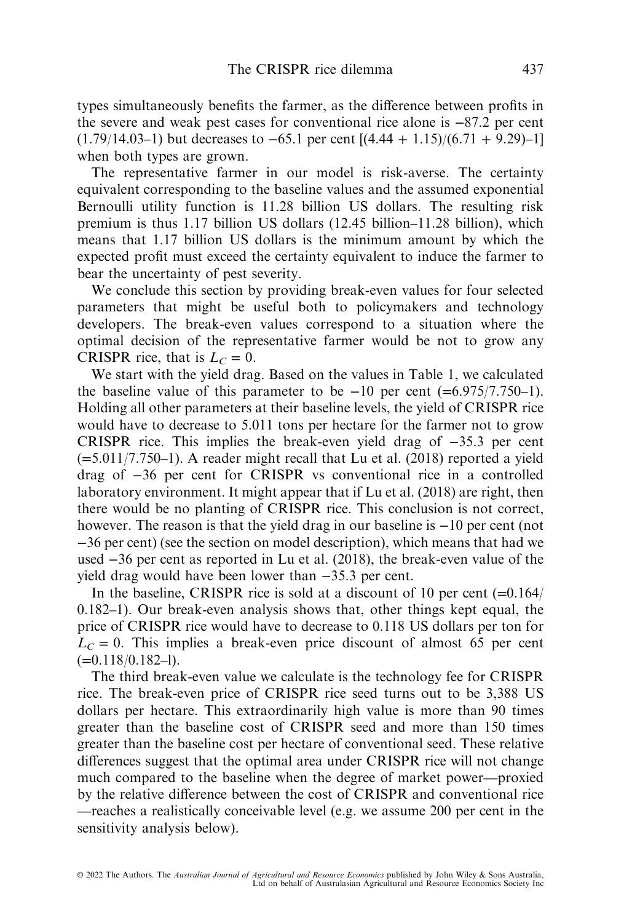types simultaneously benefits the farmer, as the difference between profits in the severe and weak pest cases for conventional rice alone is −87.2 per cent  $(1.79/14.03-1)$  but decreases to  $-65.1$  per cent  $[(4.44 + 1.15)/(6.71 + 9.29)-1]$ when both types are grown.

The representative farmer in our model is risk-averse. The certainty equivalent corresponding to the baseline values and the assumed exponential Bernoulli utility function is 11.28 billion US dollars. The resulting risk premium is thus 1.17 billion US dollars (12.45 billion–11.28 billion), which means that 1.17 billion US dollars is the minimum amount by which the expected profit must exceed the certainty equivalent to induce the farmer to bear the uncertainty of pest severity.

We conclude this section by providing break-even values for four selected parameters that might be useful both to policymakers and technology developers. The break-even values correspond to a situation where the optimal decision of the representative farmer would be not to grow any CRISPR rice, that is  $L<sub>C</sub> = 0$ .

We start with the yield drag. Based on the values in Table 1, we calculated the baseline value of this parameter to be  $-10$  per cent (=6.975/7.750–1). Holding all other parameters at their baseline levels, the yield of CRISPR rice would have to decrease to 5.011 tons per hectare for the farmer not to grow CRISPR rice. This implies the break-even yield drag of −35.3 per cent  $(=5.011/7.750-1)$ . A reader might recall that Lu et al. (2018) reported a yield drag of −36 per cent for CRISPR vs conventional rice in a controlled laboratory environment. It might appear that if Lu et al. (2018) are right, then there would be no planting of CRISPR rice. This conclusion is not correct, however. The reason is that the yield drag in our baseline is −10 per cent (not −36 per cent) (see the section on model description), which means that had we used −36 per cent as reported in Lu et al. (2018), the break-even value of the yield drag would have been lower than −35.3 per cent.

In the baseline, CRISPR rice is sold at a discount of 10 per cent  $(=0.164)$ 0.182–1). Our break-even analysis shows that, other things kept equal, the price of CRISPR rice would have to decrease to 0.118 US dollars per ton for  $L<sub>C</sub> = 0$ . This implies a break-even price discount of almost 65 per cent  $(=0.118/0.182-1)$ .

The third break-even value we calculate is the technology fee for CRISPR rice. The break-even price of CRISPR rice seed turns out to be 3,388 US dollars per hectare. This extraordinarily high value is more than 90 times greater than the baseline cost of CRISPR seed and more than 150 times greater than the baseline cost per hectare of conventional seed. These relative differences suggest that the optimal area under CRISPR rice will not change much compared to the baseline when the degree of market power—proxied by the relative difference between the cost of CRISPR and conventional rice —reaches a realistically conceivable level (e.g. we assume 200 per cent in the sensitivity analysis below).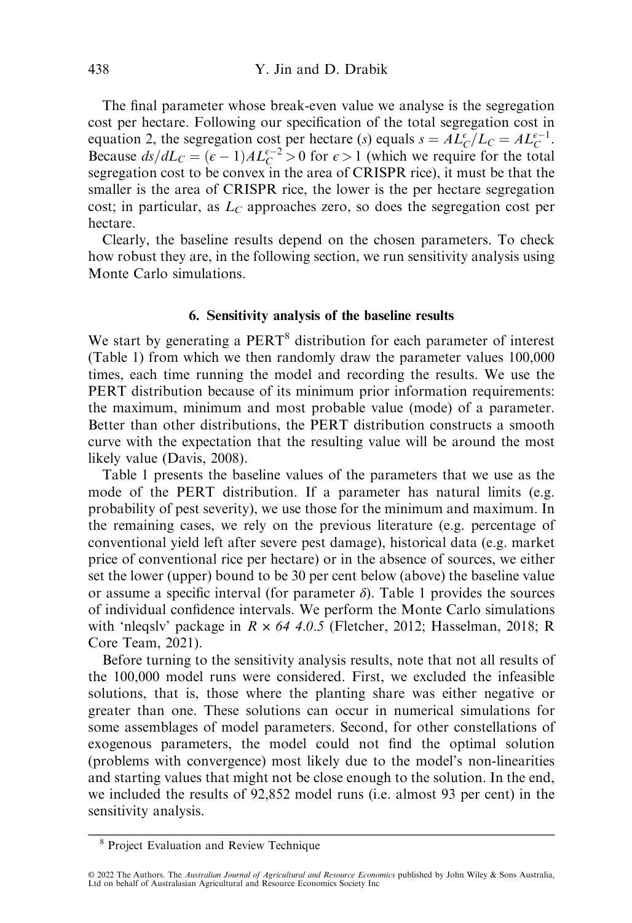The final parameter whose break-even value we analyse is the segregation cost per hectare. Following our specification of the total segregation cost in equation 2, the segregation cost per hectare (s) equals  $s = AL_C^{\epsilon}/L_C = AL_C^{\epsilon-1}$ .<br>Because  $ds/dL_C = (\epsilon - 1)AL_{\epsilon-1}^{\epsilon-2} > 0$  for  $\epsilon > 1$  (which we require for the total Because  $ds/dL_C = (\epsilon - 1)AL_C^{\epsilon-2} > 0$  for  $\epsilon > 1$  (which we require for the total<br>segregation cost to be convex in the area of CRISPR rice) it must be that the segregation cost to be convex in the area of CRISPR rice), it must be that the smaller is the area of CRISPR rice, the lower is the per hectare segregation cost; in particular, as  $L<sub>C</sub>$  approaches zero, so does the segregation cost per hectare.

Clearly, the baseline results depend on the chosen parameters. To check how robust they are, in the following section, we run sensitivity analysis using Monte Carlo simulations.

#### 6. Sensitivity analysis of the baseline results

We start by generating a PERT<sup>8</sup> distribution for each parameter of interest (Table 1) from which we then randomly draw the parameter values 100,000 times, each time running the model and recording the results. We use the PERT distribution because of its minimum prior information requirements: the maximum, minimum and most probable value (mode) of a parameter. Better than other distributions, the PERT distribution constructs a smooth curve with the expectation that the resulting value will be around the most likely value (Davis, 2008).

Table 1 presents the baseline values of the parameters that we use as the mode of the PERT distribution. If a parameter has natural limits (e.g. probability of pest severity), we use those for the minimum and maximum. In the remaining cases, we rely on the previous literature (e.g. percentage of conventional yield left after severe pest damage), historical data (e.g. market price of conventional rice per hectare) or in the absence of sources, we either set the lower (upper) bound to be 30 per cent below (above) the baseline value or assume a specific interval (for parameter  $\delta$ ). Table 1 provides the sources of individual confidence intervals. We perform the Monte Carlo simulations with 'nleqsly' package in  $R \times 64$  4.0.5 (Fletcher, 2012; Hasselman, 2018; R Core Team, 2021).

Before turning to the sensitivity analysis results, note that not all results of the 100,000 model runs were considered. First, we excluded the infeasible solutions, that is, those where the planting share was either negative or greater than one. These solutions can occur in numerical simulations for some assemblages of model parameters. Second, for other constellations of exogenous parameters, the model could not find the optimal solution (problems with convergence) most likely due to the model's non-linearities and starting values that might not be close enough to the solution. In the end, we included the results of 92,852 model runs (i.e. almost 93 per cent) in the sensitivity analysis.

<sup>8</sup> Project Evaluation and Review Technique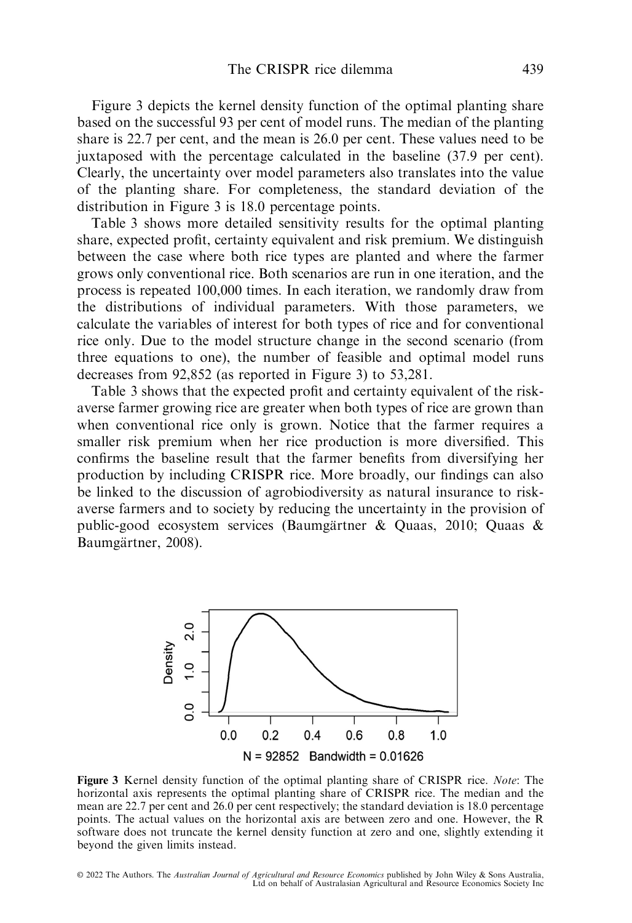Figure 3 depicts the kernel density function of the optimal planting share based on the successful 93 per cent of model runs. The median of the planting share is 22.7 per cent, and the mean is 26.0 per cent. These values need to be juxtaposed with the percentage calculated in the baseline (37.9 per cent). Clearly, the uncertainty over model parameters also translates into the value of the planting share. For completeness, the standard deviation of the distribution in Figure 3 is 18.0 percentage points.

Table 3 shows more detailed sensitivity results for the optimal planting share, expected profit, certainty equivalent and risk premium. We distinguish between the case where both rice types are planted and where the farmer grows only conventional rice. Both scenarios are run in one iteration, and the process is repeated 100,000 times. In each iteration, we randomly draw from the distributions of individual parameters. With those parameters, we calculate the variables of interest for both types of rice and for conventional rice only. Due to the model structure change in the second scenario (from three equations to one), the number of feasible and optimal model runs decreases from 92,852 (as reported in Figure 3) to 53,281.

Table 3 shows that the expected profit and certainty equivalent of the riskaverse farmer growing rice are greater when both types of rice are grown than when conventional rice only is grown. Notice that the farmer requires a smaller risk premium when her rice production is more diversified. This confirms the baseline result that the farmer benefits from diversifying her production by including CRISPR rice. More broadly, our findings can also be linked to the discussion of agrobiodiversity as natural insurance to riskaverse farmers and to society by reducing the uncertainty in the provision of public-good ecosystem services (Baumgartner & Quaas, 2010; Quaas & ¨ Baumgärtner, 2008).



Figure 3 Kernel density function of the optimal planting share of CRISPR rice. Note: The horizontal axis represents the optimal planting share of CRISPR rice. The median and the mean are 22.7 per cent and 26.0 per cent respectively; the standard deviation is 18.0 percentage points. The actual values on the horizontal axis are between zero and one. However, the R software does not truncate the kernel density function at zero and one, slightly extending it beyond the given limits instead.

© 2022 The Authors. The *Australian Journal of Agricultural and Resource Economics* published by John Wiley & Sons Australia,<br>Ltd on behalf of Australasian Agricultural and Resource Economics Society Inc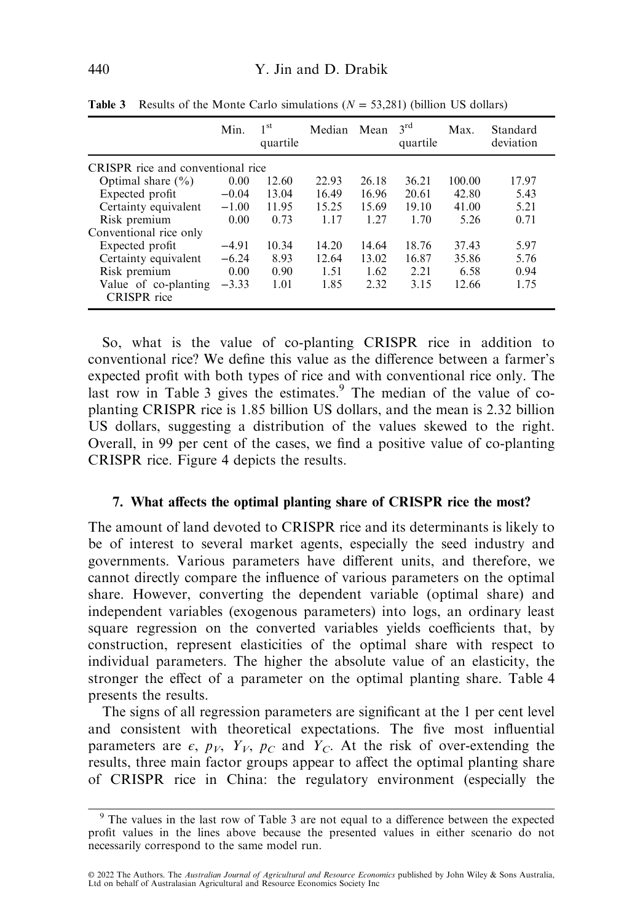|                                            | Min.    | 1 <sup>st</sup><br>quartile | Median | Mean  | $3^{\text{rd}}$<br>quartile | Max.   | Standard<br>deviation |
|--------------------------------------------|---------|-----------------------------|--------|-------|-----------------------------|--------|-----------------------|
| CRISPR rice and conventional rice          |         |                             |        |       |                             |        |                       |
| Optimal share $(\% )$                      | 0.00    | 12.60                       | 22.93  | 26.18 | 36.21                       | 100.00 | 17.97                 |
| Expected profit                            | $-0.04$ | 13.04                       | 16.49  | 16.96 | 20.61                       | 42.80  | 5.43                  |
| Certainty equivalent                       | $-1.00$ | 11.95                       | 15.25  | 15.69 | 19.10                       | 41.00  | 5.21                  |
| Risk premium                               | 0.00    | 0.73                        | 1.17   | 1.27  | 1.70                        | 5.26   | 0.71                  |
| Conventional rice only                     |         |                             |        |       |                             |        |                       |
| Expected profit                            | $-4.91$ | 10.34                       | 14.20  | 14.64 | 18.76                       | 37.43  | 5.97                  |
| Certainty equivalent                       | $-6.24$ | 8.93                        | 12.64  | 13.02 | 16.87                       | 35.86  | 5.76                  |
| Risk premium                               | 0.00    | 0.90                        | 1.51   | 1.62  | 2.21                        | 6.58   | 0.94                  |
| Value of co-planting<br><b>CRISPR</b> rice | $-3.33$ | 1.01                        | 1.85   | 2.32  | 3.15                        | 12.66  | 1.75                  |

**Table 3** Results of the Monte Carlo simulations  $(N = 53,281)$  (billion US dollars)

So, what is the value of co-planting CRISPR rice in addition to conventional rice? We define this value as the difference between a farmer's expected profit with both types of rice and with conventional rice only. The last row in Table 3 gives the estimates.<sup>9</sup> The median of the value of coplanting CRISPR rice is 1.85 billion US dollars, and the mean is 2.32 billion US dollars, suggesting a distribution of the values skewed to the right. Overall, in 99 per cent of the cases, we find a positive value of co-planting CRISPR rice. Figure 4 depicts the results.

#### 7. What affects the optimal planting share of CRISPR rice the most?

The amount of land devoted to CRISPR rice and its determinants is likely to be of interest to several market agents, especially the seed industry and governments. Various parameters have different units, and therefore, we cannot directly compare the influence of various parameters on the optimal share. However, converting the dependent variable (optimal share) and independent variables (exogenous parameters) into logs, an ordinary least square regression on the converted variables yields coefficients that, by construction, represent elasticities of the optimal share with respect to individual parameters. The higher the absolute value of an elasticity, the stronger the effect of a parameter on the optimal planting share. Table 4 presents the results.

The signs of all regression parameters are significant at the 1 per cent level and consistent with theoretical expectations. The five most influential parameters are  $\epsilon$ ,  $p_V$ ,  $Y_V$ ,  $p_C$  and  $Y_C$ . At the risk of over-extending the results, three main factor groups appear to affect the optimal planting share of CRISPR rice in China: the regulatory environment (especially the

<sup>9</sup> The values in the last row of Table 3 are not equal to a difference between the expected profit values in the lines above because the presented values in either scenario do not necessarily correspond to the same model run.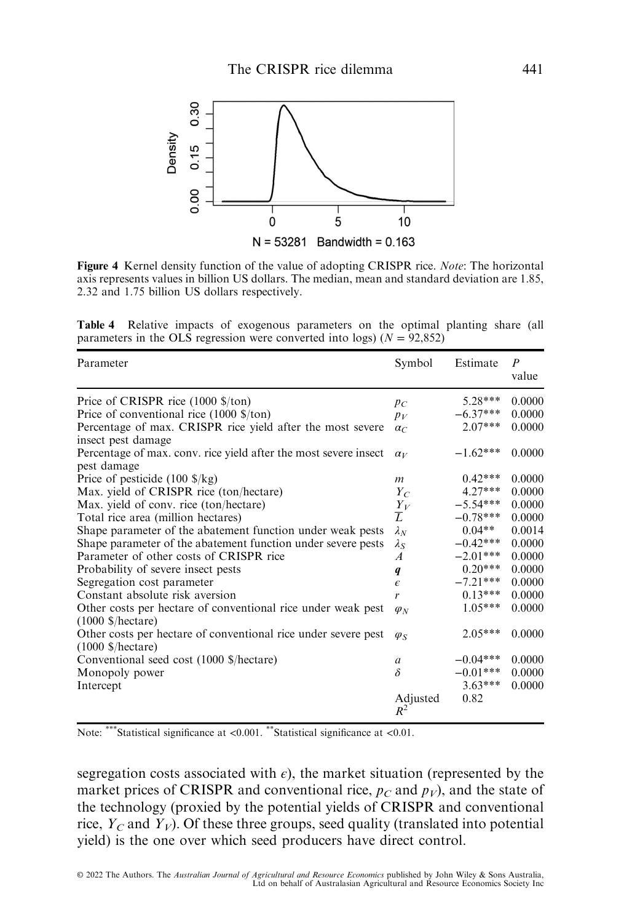

Figure 4 Kernel density function of the value of adopting CRISPR rice. Note: The horizontal axis represents values in billion US dollars. The median, mean and standard deviation are 1.85, 2.32 and 1.75 billion US dollars respectively.

Table 4 Relative impacts of exogenous parameters on the optimal planting share (all parameters in the OLS regression were converted into logs) ( $N = 92,852$ )

| Parameter                                                                                                                                                                                                                                                                                                                                                                                                                                                                                                                                                                                                                                                                                                                                                                                                                                                                                                                                                                                   | Symbol                                                                                                                                                                                                     | Estimate                                                                                                                                                                                                                                       | P<br>value                                                                                                                                                                       |
|---------------------------------------------------------------------------------------------------------------------------------------------------------------------------------------------------------------------------------------------------------------------------------------------------------------------------------------------------------------------------------------------------------------------------------------------------------------------------------------------------------------------------------------------------------------------------------------------------------------------------------------------------------------------------------------------------------------------------------------------------------------------------------------------------------------------------------------------------------------------------------------------------------------------------------------------------------------------------------------------|------------------------------------------------------------------------------------------------------------------------------------------------------------------------------------------------------------|------------------------------------------------------------------------------------------------------------------------------------------------------------------------------------------------------------------------------------------------|----------------------------------------------------------------------------------------------------------------------------------------------------------------------------------|
| Price of CRISPR rice $(1000 \text{$ \$/ton})<br>Price of conventional rice $(1000 \text{ \$/ton})$<br>Percentage of max. CRISPR rice yield after the most severe<br>insect pest damage<br>Percentage of max. conv. rice yield after the most severe insect<br>pest damage<br>Price of pesticide $(100 \text{ s/kg})$<br>Max. yield of CRISPR rice (ton/hectare)<br>Max. yield of conv. rice (ton/hectare)<br>Total rice area (million hectares)<br>Shape parameter of the abatement function under weak pests<br>Shape parameter of the abatement function under severe pests<br>Parameter of other costs of CRISPR rice<br>Probability of severe insect pests<br>Segregation cost parameter<br>Constant absolute risk aversion<br>Other costs per hectare of conventional rice under weak pest<br>$(1000 \text{ S/hectare})$<br>Other costs per hectare of conventional rice under severe pest<br>$(1000 \text{ S/hectare})$<br>Conventional seed cost (1000 \$/hectare)<br>Monopoly power | $p_C$<br>$p_V$<br>$\alpha_C$<br>$\alpha_V$<br>m<br>$Y_C$<br>$\frac{Y_V}{L}$<br>$\lambda_N$<br>$\lambda_S$<br>$\overline{A}$<br>q<br>$\epsilon$<br>r<br>$\varphi_N$<br>$\varphi_{S}$<br>$\mathfrak{a}$<br>δ | $5.28***$<br>$-6.37***$<br>$2.07***$<br>$-1.62***$<br>$0.42***$<br>$4.27***$<br>$-5.54***$<br>$-0.78***$<br>$0.04**$<br>$-0.42***$<br>$-2.01***$<br>$0.20***$<br>$-7.21***$<br>$0.13***$<br>$1.05***$<br>$2.05***$<br>$-0.04***$<br>$-0.01***$ | 0.0000<br>0.0000<br>0.0000<br>0.0000<br>0.0000<br>0.0000<br>0.0000<br>0.0000<br>0.0014<br>0.0000<br>0.0000<br>0.0000<br>0.0000<br>0.0000<br>0.0000<br>0.0000<br>0.0000<br>0.0000 |
| Intercept                                                                                                                                                                                                                                                                                                                                                                                                                                                                                                                                                                                                                                                                                                                                                                                                                                                                                                                                                                                   | Adjusted<br>$R^2$                                                                                                                                                                                          | $3.63***$<br>0.82                                                                                                                                                                                                                              | 0.0000                                                                                                                                                                           |

Note: \*\*\*Statistical significance at <0.001. \*\*Statistical significance at <0.01.

segregation costs associated with  $\epsilon$ ), the market situation (represented by the market prices of CRISPR and conventional rice,  $p_C$  and  $p_V$ ), and the state of the technology (proxied by the potential yields of CRISPR and conventional rice,  $Y_C$  and  $Y_V$ ). Of these three groups, seed quality (translated into potential yield) is the one over which seed producers have direct control.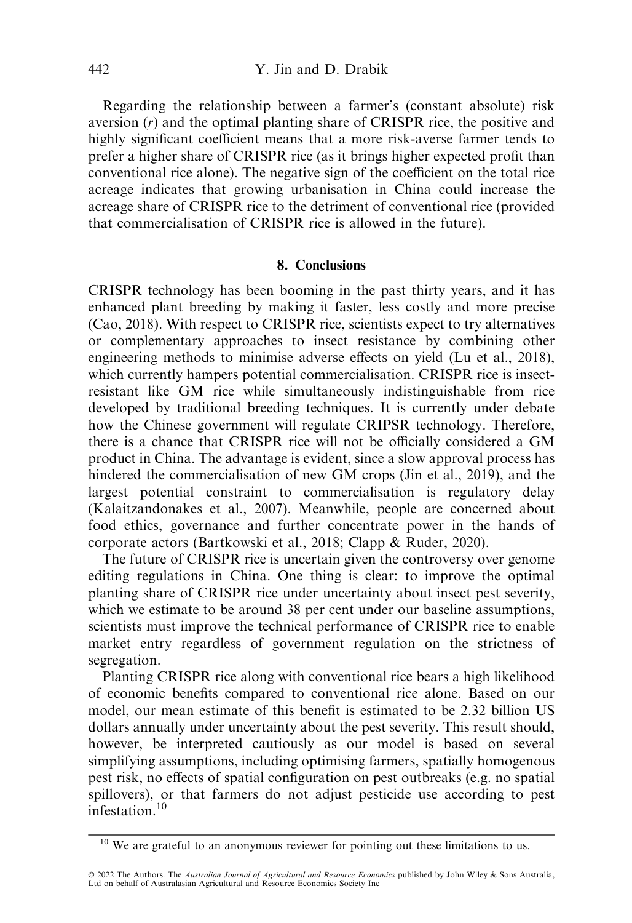Regarding the relationship between a farmer's (constant absolute) risk aversion  $(r)$  and the optimal planting share of CRISPR rice, the positive and highly significant coefficient means that a more risk-averse farmer tends to prefer a higher share of CRISPR rice (as it brings higher expected profit than conventional rice alone). The negative sign of the coefficient on the total rice acreage indicates that growing urbanisation in China could increase the acreage share of CRISPR rice to the detriment of conventional rice (provided that commercialisation of CRISPR rice is allowed in the future).

#### 8. Conclusions

CRISPR technology has been booming in the past thirty years, and it has enhanced plant breeding by making it faster, less costly and more precise (Cao, 2018). With respect to CRISPR rice, scientists expect to try alternatives or complementary approaches to insect resistance by combining other engineering methods to minimise adverse effects on yield (Lu et al., 2018), which currently hampers potential commercialisation. CRISPR rice is insectresistant like GM rice while simultaneously indistinguishable from rice developed by traditional breeding techniques. It is currently under debate how the Chinese government will regulate CRIPSR technology. Therefore, there is a chance that CRISPR rice will not be officially considered a GM product in China. The advantage is evident, since a slow approval process has hindered the commercialisation of new GM crops (Jin et al., 2019), and the largest potential constraint to commercialisation is regulatory delay (Kalaitzandonakes et al., 2007). Meanwhile, people are concerned about food ethics, governance and further concentrate power in the hands of corporate actors (Bartkowski et al., 2018; Clapp & Ruder, 2020).

The future of CRISPR rice is uncertain given the controversy over genome editing regulations in China. One thing is clear: to improve the optimal planting share of CRISPR rice under uncertainty about insect pest severity, which we estimate to be around 38 per cent under our baseline assumptions, scientists must improve the technical performance of CRISPR rice to enable market entry regardless of government regulation on the strictness of segregation.

Planting CRISPR rice along with conventional rice bears a high likelihood of economic benefits compared to conventional rice alone. Based on our model, our mean estimate of this benefit is estimated to be 2.32 billion US dollars annually under uncertainty about the pest severity. This result should, however, be interpreted cautiously as our model is based on several simplifying assumptions, including optimising farmers, spatially homogenous pest risk, no effects of spatial configuration on pest outbreaks (e.g. no spatial spillovers), or that farmers do not adjust pesticide use according to pest infestation.<sup>10</sup>

<sup>&</sup>lt;sup>10</sup> We are grateful to an anonymous reviewer for pointing out these limitations to us.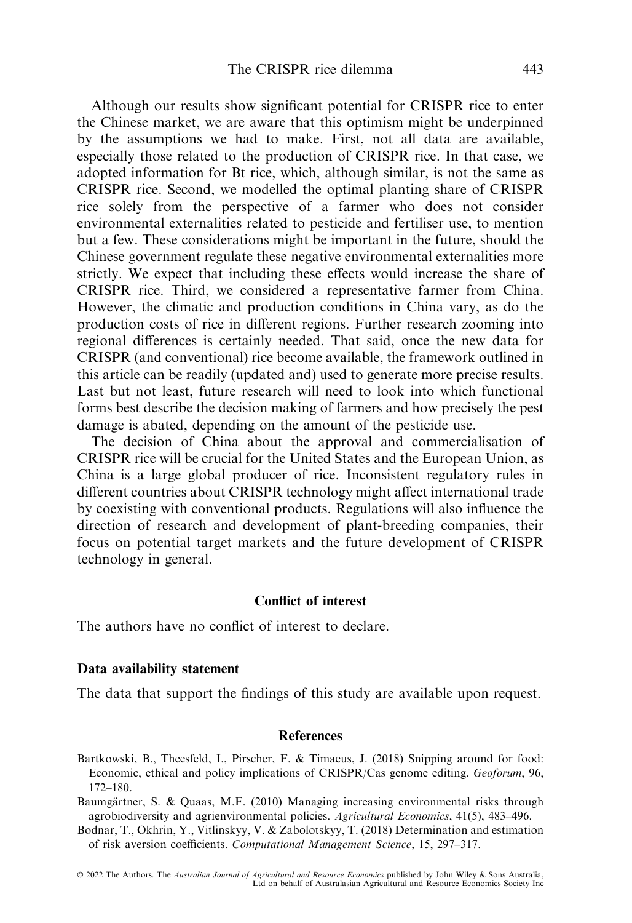Although our results show significant potential for CRISPR rice to enter the Chinese market, we are aware that this optimism might be underpinned by the assumptions we had to make. First, not all data are available, especially those related to the production of CRISPR rice. In that case, we adopted information for Bt rice, which, although similar, is not the same as CRISPR rice. Second, we modelled the optimal planting share of CRISPR rice solely from the perspective of a farmer who does not consider environmental externalities related to pesticide and fertiliser use, to mention but a few. These considerations might be important in the future, should the Chinese government regulate these negative environmental externalities more strictly. We expect that including these effects would increase the share of CRISPR rice. Third, we considered a representative farmer from China. However, the climatic and production conditions in China vary, as do the production costs of rice in different regions. Further research zooming into regional differences is certainly needed. That said, once the new data for CRISPR (and conventional) rice become available, the framework outlined in this article can be readily (updated and) used to generate more precise results. Last but not least, future research will need to look into which functional forms best describe the decision making of farmers and how precisely the pest damage is abated, depending on the amount of the pesticide use.

The decision of China about the approval and commercialisation of CRISPR rice will be crucial for the United States and the European Union, as China is a large global producer of rice. Inconsistent regulatory rules in different countries about CRISPR technology might affect international trade by coexisting with conventional products. Regulations will also influence the direction of research and development of plant-breeding companies, their focus on potential target markets and the future development of CRISPR technology in general.

#### Conflict of interest

The authors have no conflict of interest to declare.

#### Data availability statement

The data that support the findings of this study are available upon request.

#### References

Bartkowski, B., Theesfeld, I., Pirscher, F. & Timaeus, J. (2018) Snipping around for food: Economic, ethical and policy implications of CRISPR/Cas genome editing. Geoforum, 96, 172–180.

Baumgärtner, S. & Quaas, M.F. (2010) Managing increasing environmental risks through agrobiodiversity and agrienvironmental policies. Agricultural Economics, 41(5), 483–496.

Bodnar, T., Okhrin, Y., Vitlinskyy, V. & Zabolotskyy, T. (2018) Determination and estimation of risk aversion coefficients. Computational Management Science, 15, 297–317.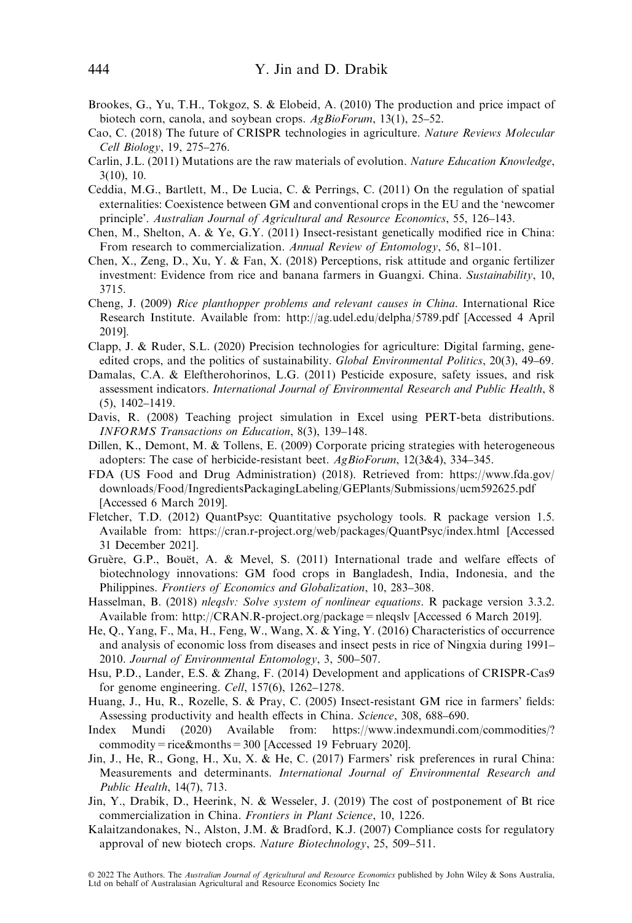- Brookes, G., Yu, T.H., Tokgoz, S. & Elobeid, A. (2010) The production and price impact of biotech corn, canola, and soybean crops. AgBioForum, 13(1), 25–52.
- Cao, C. (2018) The future of CRISPR technologies in agriculture. Nature Reviews Molecular Cell Biology, 19, 275–276.
- Carlin, J.L. (2011) Mutations are the raw materials of evolution. Nature Education Knowledge, 3(10), 10.
- Ceddia, M.G., Bartlett, M., De Lucia, C. & Perrings, C. (2011) On the regulation of spatial externalities: Coexistence between GM and conventional crops in the EU and the 'newcomer principle'. Australian Journal of Agricultural and Resource Economics, 55, 126–143.
- Chen, M., Shelton, A. & Ye, G.Y. (2011) Insect-resistant genetically modified rice in China: From research to commercialization. Annual Review of Entomology, 56, 81–101.
- Chen, X., Zeng, D., Xu, Y. & Fan, X. (2018) Perceptions, risk attitude and organic fertilizer investment: Evidence from rice and banana farmers in Guangxi. China. Sustainability, 10, 3715.
- Cheng, J. (2009) Rice planthopper problems and relevant causes in China. International Rice Research Institute. Available from: [http://ag.udel.edu/delpha/5789.pdf](http://ag.udel.edu/delpha/5789.pdf://ag.udel.edu/delpha/5789.pdf) [Accessed 4 April 2019].
- Clapp, J. & Ruder, S.L. (2020) Precision technologies for agriculture: Digital farming, geneedited crops, and the politics of sustainability. Global Environmental Politics, 20(3), 49–69.
- Damalas, C.A. & Eleftherohorinos, L.G. (2011) Pesticide exposure, safety issues, and risk assessment indicators. International Journal of Environmental Research and Public Health, 8 (5), 1402–1419.
- Davis, R. (2008) Teaching project simulation in Excel using PERT-beta distributions. INFORMS Transactions on Education, 8(3), 139–148.
- Dillen, K., Demont, M. & Tollens, E. (2009) Corporate pricing strategies with heterogeneous adopters: The case of herbicide-resistant beet. AgBioForum, 12(3&4), 334–345.
- FDA (US Food and Drug Administration) (2018). Retrieved from: [https://www.fda.gov/](https://www.fda.gov/downloads/Food/IngredientsPackagingLabeling/GEPlants/Submissions/ucm592625.pdf) [downloads/Food/IngredientsPackagingLabeling/GEPlants/Submissions/ucm592625.pdf](https://www.fda.gov/downloads/Food/IngredientsPackagingLabeling/GEPlants/Submissions/ucm592625.pdf) [Accessed 6 March 2019].
- Fletcher, T.D. (2012) QuantPsyc: Quantitative psychology tools. R package version 1.5. Available from:<https://cran.r-project.org/web/packages/QuantPsyc/index.html> [Accessed 31 December 2021].
- Gruère, G.P., Bouët, A. & Mevel, S. (2011) International trade and welfare effects of biotechnology innovations: GM food crops in Bangladesh, India, Indonesia, and the Philippines. Frontiers of Economics and Globalization, 10, 283–308.
- Hasselman, B. (2018) *nlegsly: Solve system of nonlinear equations*. R package version 3.3.2. Available from:<http://CRAN.R-project.org/package=nleqslv> [Accessed 6 March 2019].
- He, Q., Yang, F., Ma, H., Feng, W., Wang, X. & Ying, Y. (2016) Characteristics of occurrence and analysis of economic loss from diseases and insect pests in rice of Ningxia during 1991– 2010. Journal of Environmental Entomology, 3, 500–507.
- Hsu, P.D., Lander, E.S. & Zhang, F. (2014) Development and applications of CRISPR-Cas9 for genome engineering. Cell, 157(6), 1262–1278.
- Huang, J., Hu, R., Rozelle, S. & Pray, C. (2005) Insect-resistant GM rice in farmers' fields: Assessing productivity and health effects in China. Science, 308, 688–690.
- Index Mundi (2020) Available from: [https://www.indexmundi.com/commodities/?](https://www.indexmundi.com/commodities/?commodity=rice&months=300) [commodity=rice&months=300](https://www.indexmundi.com/commodities/?commodity=rice&months=300) [Accessed 19 February 2020].
- Jin, J., He, R., Gong, H., Xu, X. & He, C. (2017) Farmers' risk preferences in rural China: Measurements and determinants. International Journal of Environmental Research and Public Health, 14(7), 713.
- Jin, Y., Drabik, D., Heerink, N. & Wesseler, J. (2019) The cost of postponement of Bt rice commercialization in China. Frontiers in Plant Science, 10, 1226.
- Kalaitzandonakes, N., Alston, J.M. & Bradford, K.J. (2007) Compliance costs for regulatory approval of new biotech crops. Nature Biotechnology, 25, 509–511.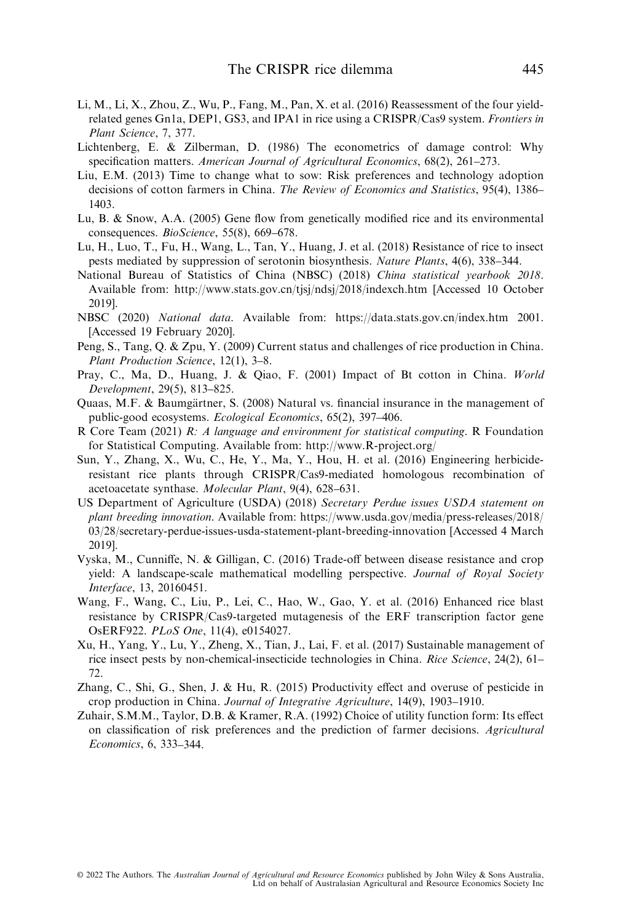- Li, M., Li, X., Zhou, Z., Wu, P., Fang, M., Pan, X. et al. (2016) Reassessment of the four yieldrelated genes Gn1a, DEP1, GS3, and IPA1 in rice using a CRISPR/Cas9 system. Frontiers in Plant Science, 7, 377.
- Lichtenberg, E. & Zilberman, D. (1986) The econometrics of damage control: Why specification matters. American Journal of Agricultural Economics, 68(2), 261–273.
- Liu, E.M. (2013) Time to change what to sow: Risk preferences and technology adoption decisions of cotton farmers in China. The Review of Economics and Statistics, 95(4), 1386– 1403.
- Lu, B. & Snow, A.A. (2005) Gene flow from genetically modified rice and its environmental consequences. BioScience, 55(8), 669–678.
- Lu, H., Luo, T., Fu, H., Wang, L., Tan, Y., Huang, J. et al. (2018) Resistance of rice to insect pests mediated by suppression of serotonin biosynthesis. Nature Plants, 4(6), 338–344.
- National Bureau of Statistics of China (NBSC) (2018) China statistical yearbook 2018. Available from:<http://www.stats.gov.cn/tjsj/ndsj/2018/indexch.htm> [Accessed 10 October 2019].
- NBSC (2020) National data. Available from: [https://data.stats.gov.cn/index.htm](http://data.stats.gov.cn/search.htm?s=%6C34%7A3B%4EA7%91CF) 2001. [Accessed 19 February 2020].
- Peng, S., Tang, Q. & Zpu, Y. (2009) Current status and challenges of rice production in China. Plant Production Science, 12(1), 3–8.
- Pray, C., Ma, D., Huang, J. & Qiao, F. (2001) Impact of Bt cotton in China. World Development, 29(5), 813–825.
- Quaas, M.F. & Baumgärtner, S. (2008) Natural vs. financial insurance in the management of public-good ecosystems. Ecological Economics, 65(2), 397–406.
- R Core Team (2021) R: A language and environment for statistical computing. R Foundation for Statistical Computing. Available from:<http://www.R-project.org/>
- Sun, Y., Zhang, X., Wu, C., He, Y., Ma, Y., Hou, H. et al. (2016) Engineering herbicideresistant rice plants through CRISPR/Cas9-mediated homologous recombination of acetoacetate synthase. Molecular Plant, 9(4), 628–631.
- US Department of Agriculture (USDA) (2018) Secretary Perdue issues USDA statement on plant breeding innovation. Available from: [https://www.usda.gov/media/press-releases/2018/](https://www.usda.gov/media/press-releases/2018/03/28/secretary-perdue-issues-usda-statement-plant-breeding-innovation) [03/28/secretary-perdue-issues-usda-statement-plant-breeding-innovation](https://www.usda.gov/media/press-releases/2018/03/28/secretary-perdue-issues-usda-statement-plant-breeding-innovation) [Accessed 4 March 2019].
- Vyska, M., Cunniffe, N. & Gilligan, C. (2016) Trade-off between disease resistance and crop yield: A landscape-scale mathematical modelling perspective. Journal of Royal Society Interface, 13, 20160451.
- Wang, F., Wang, C., Liu, P., Lei, C., Hao, W., Gao, Y. et al. (2016) Enhanced rice blast resistance by CRISPR/Cas9-targeted mutagenesis of the ERF transcription factor gene OsERF922. PLoS One, 11(4), e0154027.
- Xu, H., Yang, Y., Lu, Y., Zheng, X., Tian, J., Lai, F. et al. (2017) Sustainable management of rice insect pests by non-chemical-insecticide technologies in China. Rice Science, 24(2), 61-72.
- Zhang, C., Shi, G., Shen, J. & Hu, R. (2015) Productivity effect and overuse of pesticide in crop production in China. Journal of Integrative Agriculture, 14(9), 1903–1910.
- Zuhair, S.M.M., Taylor, D.B. & Kramer, R.A. (1992) Choice of utility function form: Its effect on classification of risk preferences and the prediction of farmer decisions. Agricultural Economics, 6, 333–344.